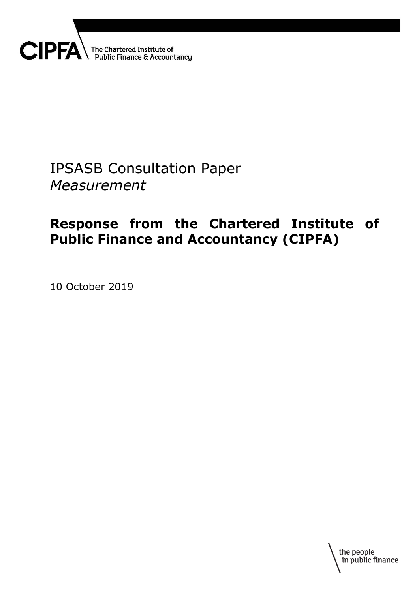

# IPSASB Consultation Paper *Measurement*

# **Response from the Chartered Institute of Public Finance and Accountancy (CIPFA)**

10 October 2019

the people in public finance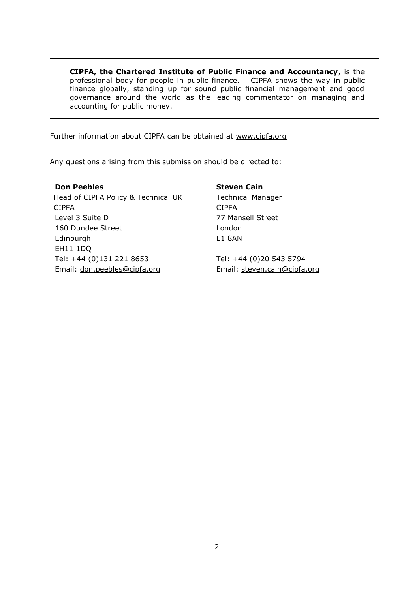**CIPFA, the Chartered Institute of Public Finance and Accountancy**, is the professional body for people in public finance. CIPFA shows the way in public finance globally, standing up for sound public financial management and good governance around the world as the leading commentator on managing and accounting for public money.

Further information about CIPFA can be obtained at [www.cipfa.org](http://www.cipfa.org/)

Any questions arising from this submission should be directed to:

**Don Peebles** Head of CIPFA Policy & Technical UK CIPFA Level 3 Suite D 160 Dundee Street Edinburgh EH11 1DQ Tel: +44 (0)131 221 8653 Email: [don.peebles@cipfa.org](mailto:don.peebles@cipfa.org)

**Steven Cain** Technical Manager CIPFA 77 Mansell Street London E1 8AN

Tel: +44 (0)20 543 5794 Email: [steven.cain@cipfa.org](mailto:steven.cain@cipfa.org)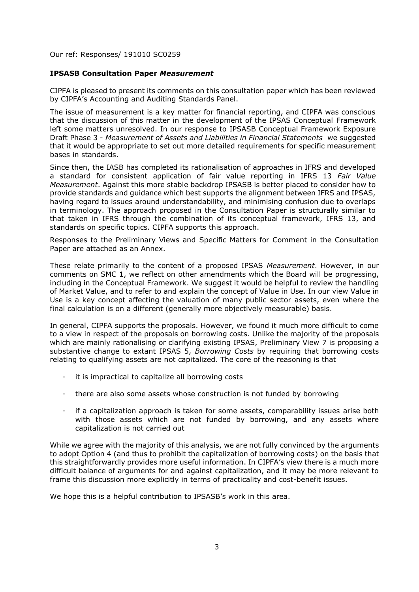Our ref: Responses/ 191010 SC0259

#### **IPSASB Consultation Paper** *Measurement*

CIPFA is pleased to present its comments on this consultation paper which has been reviewed by CIPFA's Accounting and Auditing Standards Panel.

The issue of measurement is a key matter for financial reporting, and CIPFA was conscious that the discussion of this matter in the development of the IPSAS Conceptual Framework left some matters unresolved. In our response to IPSASB Conceptual Framework Exposure Draft Phase 3 - *Measurement of Assets and Liabilities in Financial Statements* we suggested that it would be appropriate to set out more detailed requirements for specific measurement bases in standards.

Since then, the IASB has completed its rationalisation of approaches in IFRS and developed a standard for consistent application of fair value reporting in IFRS 13 *Fair Value Measurement*. Against this more stable backdrop IPSASB is better placed to consider how to provide standards and guidance which best supports the alignment between IFRS and IPSAS, having regard to issues around understandability, and minimising confusion due to overlaps in terminology. The approach proposed in the Consultation Paper is structurally similar to that taken in IFRS through the combination of its conceptual framework, IFRS 13, and standards on specific topics. CIPFA supports this approach.

Responses to the Preliminary Views and Specific Matters for Comment in the Consultation Paper are attached as an Annex.

These relate primarily to the content of a proposed IPSAS *Measurement*. However, in our comments on SMC 1, we reflect on other amendments which the Board will be progressing, including in the Conceptual Framework. We suggest it would be helpful to review the handling of Market Value, and to refer to and explain the concept of Value in Use. In our view Value in Use is a key concept affecting the valuation of many public sector assets, even where the final calculation is on a different (generally more objectively measurable) basis.

In general, CIPFA supports the proposals. However, we found it much more difficult to come to a view in respect of the proposals on borrowing costs. Unlike the majority of the proposals which are mainly rationalising or clarifying existing IPSAS, Preliminary View 7 is proposing a substantive change to extant IPSAS 5, *Borrowing Costs* by requiring that borrowing costs relating to qualifying assets are not capitalized. The core of the reasoning is that

- it is impractical to capitalize all borrowing costs
- there are also some assets whose construction is not funded by borrowing
- if a capitalization approach is taken for some assets, comparability issues arise both with those assets which are not funded by borrowing, and any assets where capitalization is not carried out

While we agree with the majority of this analysis, we are not fully convinced by the arguments to adopt Option 4 (and thus to prohibit the capitalization of borrowing costs) on the basis that this straightforwardly provides more useful information. In CIPFA's view there is a much more difficult balance of arguments for and against capitalization, and it may be more relevant to frame this discussion more explicitly in terms of practicality and cost-benefit issues.

We hope this is a helpful contribution to IPSASB's work in this area.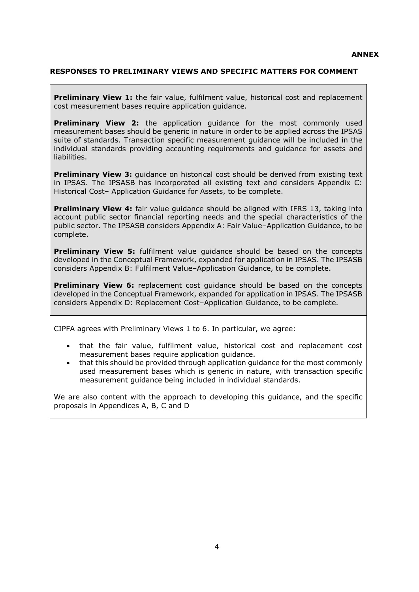# **RESPONSES TO PRELIMINARY VIEWS AND SPECIFIC MATTERS FOR COMMENT**

**Preliminary View 1:** the fair value, fulfilment value, historical cost and replacement cost measurement bases require application guidance.

**Preliminary View 2:** the application guidance for the most commonly used measurement bases should be generic in nature in order to be applied across the IPSAS suite of standards. Transaction specific measurement guidance will be included in the individual standards providing accounting requirements and guidance for assets and liabilities.

**Preliminary View 3:** guidance on historical cost should be derived from existing text in IPSAS. The IPSASB has incorporated all existing text and considers Appendix C: Historical Cost– Application Guidance for Assets, to be complete.

**Preliminary View 4:** fair value guidance should be aligned with IFRS 13, taking into account public sector financial reporting needs and the special characteristics of the public sector. The IPSASB considers Appendix A: Fair Value–Application Guidance, to be complete.

**Preliminary View 5:** fulfilment value guidance should be based on the concepts developed in the Conceptual Framework, expanded for application in IPSAS. The IPSASB considers Appendix B: Fulfilment Value–Application Guidance, to be complete.

**Preliminary View 6:** replacement cost guidance should be based on the concepts developed in the Conceptual Framework, expanded for application in IPSAS. The IPSASB considers Appendix D: Replacement Cost–Application Guidance, to be complete.

CIPFA agrees with Preliminary Views 1 to 6. In particular, we agree:

- that the fair value, fulfilment value, historical cost and replacement cost measurement bases require application guidance.
- that this should be provided through application guidance for the most commonly used measurement bases which is generic in nature, with transaction specific measurement guidance being included in individual standards.

We are also content with the approach to developing this guidance, and the specific proposals in Appendices A, B, C and D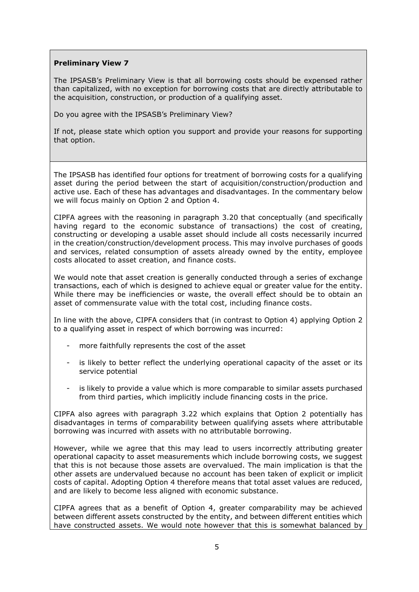# **Preliminary View 7**

The IPSASB's Preliminary View is that all borrowing costs should be expensed rather than capitalized, with no exception for borrowing costs that are directly attributable to the acquisition, construction, or production of a qualifying asset.

Do you agree with the IPSASB's Preliminary View?

If not, please state which option you support and provide your reasons for supporting that option.

The IPSASB has identified four options for treatment of borrowing costs for a qualifying asset during the period between the start of acquisition/construction/production and active use. Each of these has advantages and disadvantages. In the commentary below we will focus mainly on Option 2 and Option 4.

CIPFA agrees with the reasoning in paragraph 3.20 that conceptually (and specifically having regard to the economic substance of transactions) the cost of creating, constructing or developing a usable asset should include all costs necessarily incurred in the creation/construction/development process. This may involve purchases of goods and services, related consumption of assets already owned by the entity, employee costs allocated to asset creation, and finance costs.

We would note that asset creation is generally conducted through a series of exchange transactions, each of which is designed to achieve equal or greater value for the entity. While there may be inefficiencies or waste, the overall effect should be to obtain an asset of commensurate value with the total cost, including finance costs.

In line with the above, CIPFA considers that (in contrast to Option 4) applying Option 2 to a qualifying asset in respect of which borrowing was incurred:

- more faithfully represents the cost of the asset
- is likely to better reflect the underlying operational capacity of the asset or its service potential
- is likely to provide a value which is more comparable to similar assets purchased from third parties, which implicitly include financing costs in the price.

CIPFA also agrees with paragraph 3.22 which explains that Option 2 potentially has disadvantages in terms of comparability between qualifying assets where attributable borrowing was incurred with assets with no attributable borrowing.

However, while we agree that this may lead to users incorrectly attributing greater operational capacity to asset measurements which include borrowing costs, we suggest that this is not because those assets are overvalued. The main implication is that the other assets are undervalued because no account has been taken of explicit or implicit costs of capital. Adopting Option 4 therefore means that total asset values are reduced, and are likely to become less aligned with economic substance.

CIPFA agrees that as a benefit of Option 4, greater comparability may be achieved between different assets constructed by the entity, and between different entities which have constructed assets. We would note however that this is somewhat balanced by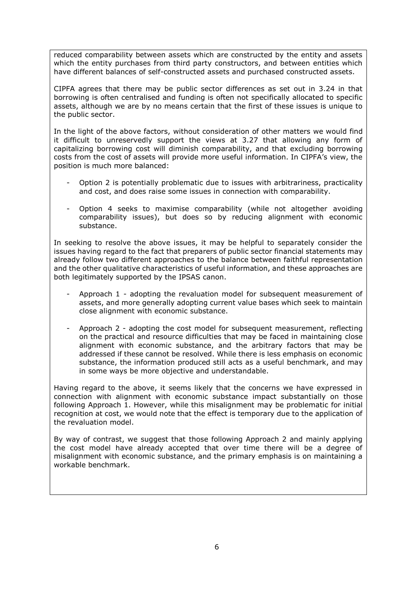reduced comparability between assets which are constructed by the entity and assets which the entity purchases from third party constructors, and between entities which have different balances of self-constructed assets and purchased constructed assets.

CIPFA agrees that there may be public sector differences as set out in 3.24 in that borrowing is often centralised and funding is often not specifically allocated to specific assets, although we are by no means certain that the first of these issues is unique to the public sector.

In the light of the above factors, without consideration of other matters we would find it difficult to unreservedly support the views at 3.27 that allowing any form of capitalizing borrowing cost will diminish comparability, and that excluding borrowing costs from the cost of assets will provide more useful information. In CIPFA's view, the position is much more balanced:

- Option 2 is potentially problematic due to issues with arbitrariness, practicality and cost, and does raise some issues in connection with comparability.
- Option 4 seeks to maximise comparability (while not altogether avoiding comparability issues), but does so by reducing alignment with economic substance.

In seeking to resolve the above issues, it may be helpful to separately consider the issues having regard to the fact that preparers of public sector financial statements may already follow two different approaches to the balance between faithful representation and the other qualitative characteristics of useful information, and these approaches are both legitimately supported by the IPSAS canon.

- Approach 1 adopting the revaluation model for subsequent measurement of assets, and more generally adopting current value bases which seek to maintain close alignment with economic substance.
- Approach 2 adopting the cost model for subsequent measurement, reflecting on the practical and resource difficulties that may be faced in maintaining close alignment with economic substance, and the arbitrary factors that may be addressed if these cannot be resolved. While there is less emphasis on economic substance, the information produced still acts as a useful benchmark, and may in some ways be more objective and understandable.

Having regard to the above, it seems likely that the concerns we have expressed in connection with alignment with economic substance impact substantially on those following Approach 1. However, while this misalignment may be problematic for initial recognition at cost, we would note that the effect is temporary due to the application of the revaluation model.

By way of contrast, we suggest that those following Approach 2 and mainly applying the cost model have already accepted that over time there will be a degree of misalignment with economic substance, and the primary emphasis is on maintaining a workable benchmark.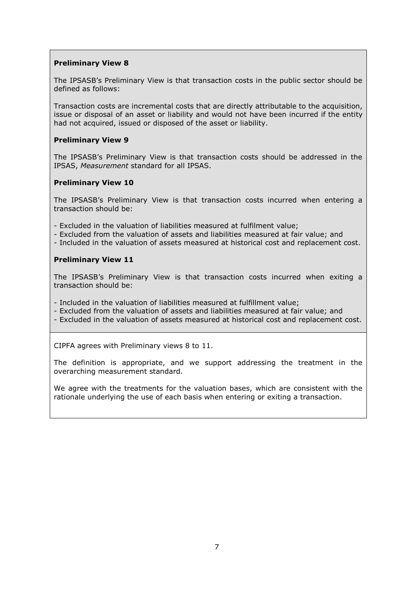# **Preliminary View 8**

The IPSASB's Preliminary View is that transaction costs in the public sector should be defined as follows:

Transaction costs are incremental costs that are directly attributable to the acquisition, issue or disposal of an asset or liability and would not have been incurred if the entity had not acquired, issued or disposed of the asset or liability.

# **Preliminary View 9**

The IPSASB's Preliminary View is that transaction costs should be addressed in the IPSAS, *Measurement* standard for all IPSAS.

#### **Preliminary View 10**

The IPSASB's Preliminary View is that transaction costs incurred when entering a transaction should be:

- Excluded in the valuation of liabilities measured at fulfilment value;

- Excluded from the valuation of assets and liabilities measured at fair value; and
- Included in the valuation of assets measured at historical cost and replacement cost.

#### **Preliminary View 11**

The IPSASB's Preliminary View is that transaction costs incurred when exiting a transaction should be:

- Included in the valuation of liabilities measured at fulfillment value;

- Excluded from the valuation of assets and liabilities measured at fair value; and
- Excluded in the valuation of assets measured at historical cost and replacement cost.

CIPFA agrees with Preliminary views 8 to 11.

The definition is appropriate, and we support addressing the treatment in the overarching measurement standard.

We agree with the treatments for the valuation bases, which are consistent with the rationale underlying the use of each basis when entering or exiting a transaction.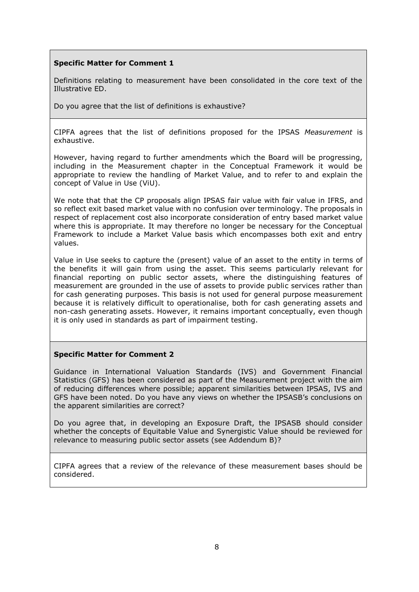# **Specific Matter for Comment 1**

Definitions relating to measurement have been consolidated in the core text of the Illustrative ED.

Do you agree that the list of definitions is exhaustive?

CIPFA agrees that the list of definitions proposed for the IPSAS *Measurement* is exhaustive.

However, having regard to further amendments which the Board will be progressing, including in the Measurement chapter in the Conceptual Framework it would be appropriate to review the handling of Market Value, and to refer to and explain the concept of Value in Use (ViU).

We note that that the CP proposals align IPSAS fair value with fair value in IFRS, and so reflect exit based market value with no confusion over terminology. The proposals in respect of replacement cost also incorporate consideration of entry based market value where this is appropriate. It may therefore no longer be necessary for the Conceptual Framework to include a Market Value basis which encompasses both exit and entry values.

Value in Use seeks to capture the (present) value of an asset to the entity in terms of the benefits it will gain from using the asset. This seems particularly relevant for financial reporting on public sector assets, where the distinguishing features of measurement are grounded in the use of assets to provide public services rather than for cash generating purposes. This basis is not used for general purpose measurement because it is relatively difficult to operationalise, both for cash generating assets and non-cash generating assets. However, it remains important conceptually, even though it is only used in standards as part of impairment testing.

#### **Specific Matter for Comment 2**

Guidance in International Valuation Standards (IVS) and Government Financial Statistics (GFS) has been considered as part of the Measurement project with the aim of reducing differences where possible; apparent similarities between IPSAS, IVS and GFS have been noted. Do you have any views on whether the IPSASB's conclusions on the apparent similarities are correct?

Do you agree that, in developing an Exposure Draft, the IPSASB should consider whether the concepts of Equitable Value and Synergistic Value should be reviewed for relevance to measuring public sector assets (see Addendum B)?

CIPFA agrees that a review of the relevance of these measurement bases should be considered.